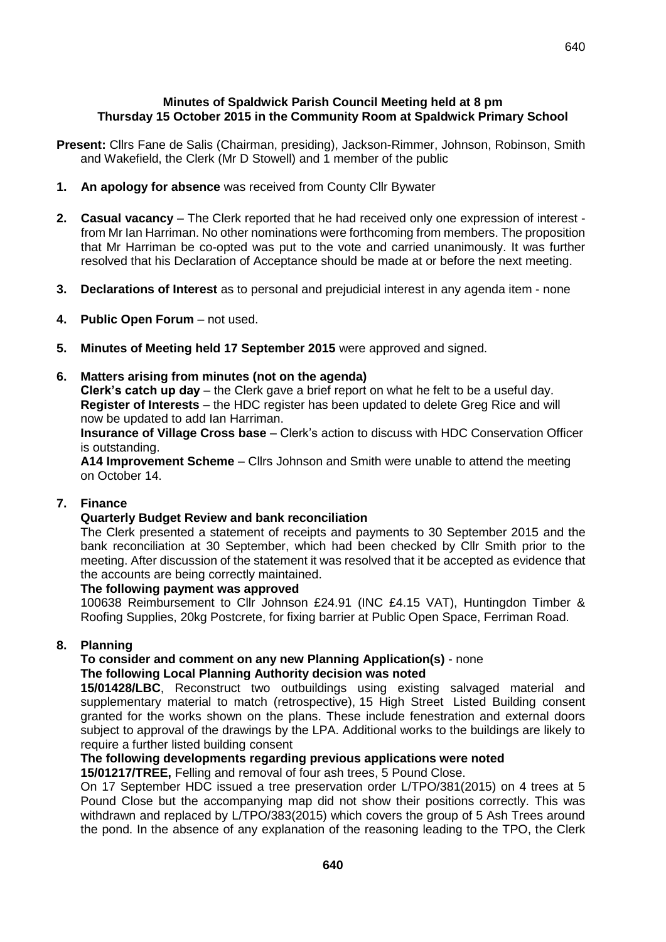- **Present:** Cllrs Fane de Salis (Chairman, presiding), Jackson-Rimmer, Johnson, Robinson, Smith and Wakefield, the Clerk (Mr D Stowell) and 1 member of the public
- **1. An apology for absence** was received from County Cllr Bywater
- **2. Casual vacancy**  The Clerk reported that he had received only one expression of interest from Mr Ian Harriman. No other nominations were forthcoming from members. The proposition that Mr Harriman be co-opted was put to the vote and carried unanimously. It was further resolved that his Declaration of Acceptance should be made at or before the next meeting.
- **3. Declarations of Interest** as to personal and prejudicial interest in any agenda item none
- **4. Public Open Forum** not used.
- **5. Minutes of Meeting held 17 September 2015** were approved and signed.

### **6. Matters arising from minutes (not on the agenda)**

**Clerk's catch up day** – the Clerk gave a brief report on what he felt to be a useful day. **Register of Interests** – the HDC register has been updated to delete Greg Rice and will now be updated to add Ian Harriman.

**Insurance of Village Cross base** – Clerk's action to discuss with HDC Conservation Officer is outstanding.

**A14 Improvement Scheme** – Cllrs Johnson and Smith were unable to attend the meeting on October 14.

### **7. Finance**

### **Quarterly Budget Review and bank reconciliation**

The Clerk presented a statement of receipts and payments to 30 September 2015 and the bank reconciliation at 30 September, which had been checked by Cllr Smith prior to the meeting. After discussion of the statement it was resolved that it be accepted as evidence that the accounts are being correctly maintained.

### **The following payment was approved**

100638 Reimbursement to Cllr Johnson £24.91 (INC £4.15 VAT), Huntingdon Timber & Roofing Supplies, 20kg Postcrete, for fixing barrier at Public Open Space, Ferriman Road.

### **8. Planning**

#### **To consider and comment on any new Planning Application(s)** - none **The following Local Planning Authority decision was noted**

**15/01428/LBC**, Reconstruct two outbuildings using existing salvaged material and supplementary material to match (retrospective), 15 High Street Listed Building consent granted for the works shown on the plans. These include fenestration and external doors subject to approval of the drawings by the LPA. Additional works to the buildings are likely to require a further listed building consent

### **The following developments regarding previous applications were noted**

**15/01217/TREE,** Felling and removal of four ash trees, 5 Pound Close.

On 17 September HDC issued a tree preservation order L/TPO/381(2015) on 4 trees at 5 Pound Close but the accompanying map did not show their positions correctly. This was withdrawn and replaced by L/TPO/383(2015) which covers the group of 5 Ash Trees around the pond. In the absence of any explanation of the reasoning leading to the TPO, the Clerk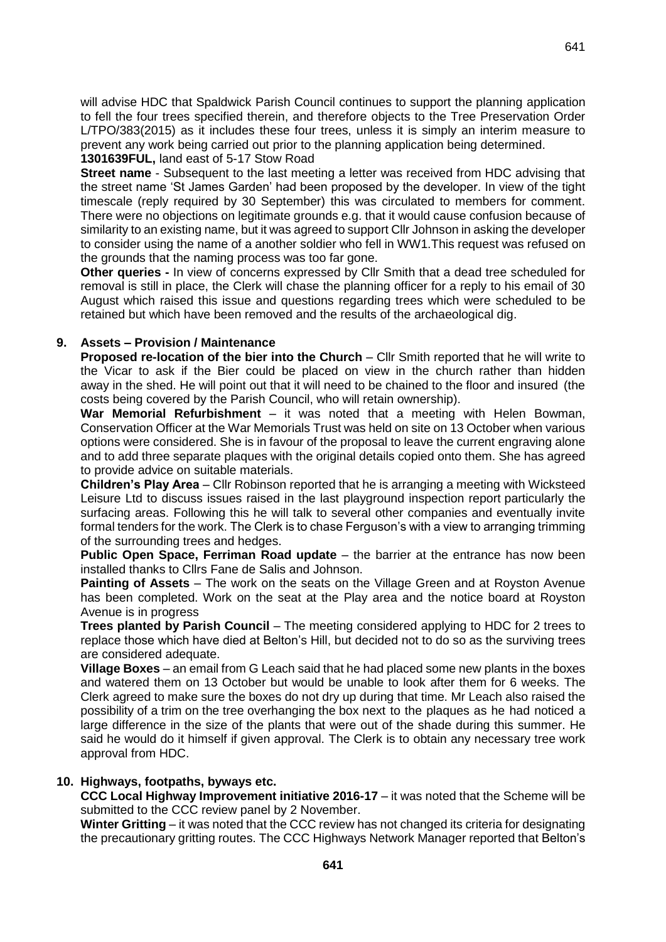will advise HDC that Spaldwick Parish Council continues to support the planning application to fell the four trees specified therein, and therefore objects to the Tree Preservation Order L/TPO/383(2015) as it includes these four trees, unless it is simply an interim measure to prevent any work being carried out prior to the planning application being determined.

## **1301639FUL,** land east of 5-17 Stow Road

**Street name** - Subsequent to the last meeting a letter was received from HDC advising that the street name 'St James Garden' had been proposed by the developer. In view of the tight timescale (reply required by 30 September) this was circulated to members for comment. There were no objections on legitimate grounds e.g. that it would cause confusion because of similarity to an existing name, but it was agreed to support Cllr Johnson in asking the developer to consider using the name of a another soldier who fell in WW1.This request was refused on the grounds that the naming process was too far gone.

**Other queries -** In view of concerns expressed by Cllr Smith that a dead tree scheduled for removal is still in place, the Clerk will chase the planning officer for a reply to his email of 30 August which raised this issue and questions regarding trees which were scheduled to be retained but which have been removed and the results of the archaeological dig.

# **9. Assets – Provision / Maintenance**

**Proposed re-location of the bier into the Church** – Cllr Smith reported that he will write to the Vicar to ask if the Bier could be placed on view in the church rather than hidden away in the shed. He will point out that it will need to be chained to the floor and insured (the costs being covered by the Parish Council, who will retain ownership).

**War Memorial Refurbishment** – it was noted that a meeting with Helen Bowman, Conservation Officer at the War Memorials Trust was held on site on 13 October when various options were considered. She is in favour of the proposal to leave the current engraving alone and to add three separate plaques with the original details copied onto them. She has agreed to provide advice on suitable materials.

**Children's Play Area** – Cllr Robinson reported that he is arranging a meeting with Wicksteed Leisure Ltd to discuss issues raised in the last playground inspection report particularly the surfacing areas. Following this he will talk to several other companies and eventually invite formal tenders for the work. The Clerk is to chase Ferguson's with a view to arranging trimming of the surrounding trees and hedges.

**Public Open Space, Ferriman Road update** – the barrier at the entrance has now been installed thanks to Cllrs Fane de Salis and Johnson.

**Painting of Assets** – The work on the seats on the Village Green and at Royston Avenue has been completed. Work on the seat at the Play area and the notice board at Royston Avenue is in progress

**Trees planted by Parish Council** – The meeting considered applying to HDC for 2 trees to replace those which have died at Belton's Hill, but decided not to do so as the surviving trees are considered adequate.

**Village Boxes** – an email from G Leach said that he had placed some new plants in the boxes and watered them on 13 October but would be unable to look after them for 6 weeks. The Clerk agreed to make sure the boxes do not dry up during that time. Mr Leach also raised the possibility of a trim on the tree overhanging the box next to the plaques as he had noticed a large difference in the size of the plants that were out of the shade during this summer. He said he would do it himself if given approval. The Clerk is to obtain any necessary tree work approval from HDC.

### **10. Highways, footpaths, byways etc.**

**CCC Local Highway Improvement initiative 2016-17** – it was noted that the Scheme will be submitted to the CCC review panel by 2 November.

**Winter Gritting** – it was noted that the CCC review has not changed its criteria for designating the precautionary gritting routes. The CCC Highways Network Manager reported that Belton's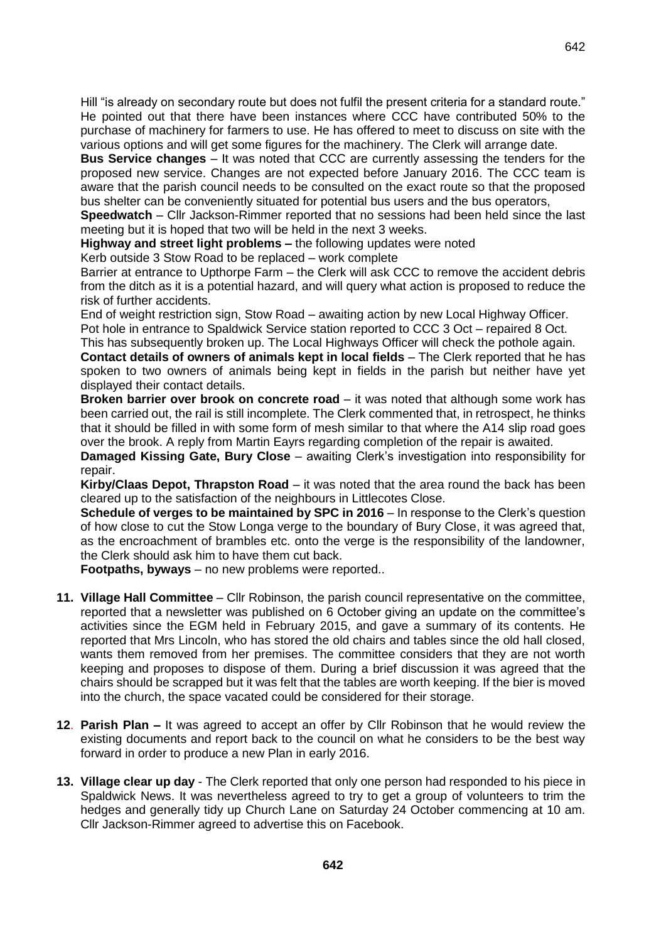Hill "is already on secondary route but does not fulfil the present criteria for a standard route." He pointed out that there have been instances where CCC have contributed 50% to the purchase of machinery for farmers to use. He has offered to meet to discuss on site with the various options and will get some figures for the machinery. The Clerk will arrange date.

**Bus Service changes** – It was noted that CCC are currently assessing the tenders for the proposed new service. Changes are not expected before January 2016. The CCC team is aware that the parish council needs to be consulted on the exact route so that the proposed bus shelter can be conveniently situated for potential bus users and the bus operators,

**Speedwatch** – Cllr Jackson-Rimmer reported that no sessions had been held since the last meeting but it is hoped that two will be held in the next 3 weeks.

**Highway and street light problems –** the following updates were noted

Kerb outside 3 Stow Road to be replaced – work complete

Barrier at entrance to Upthorpe Farm – the Clerk will ask CCC to remove the accident debris from the ditch as it is a potential hazard, and will query what action is proposed to reduce the risk of further accidents.

End of weight restriction sign, Stow Road – awaiting action by new Local Highway Officer. Pot hole in entrance to Spaldwick Service station reported to CCC 3 Oct – repaired 8 Oct.

This has subsequently broken up. The Local Highways Officer will check the pothole again.

**Contact details of owners of animals kept in local fields** – The Clerk reported that he has spoken to two owners of animals being kept in fields in the parish but neither have yet displayed their contact details.

**Broken barrier over brook on concrete road** – it was noted that although some work has been carried out, the rail is still incomplete. The Clerk commented that, in retrospect, he thinks that it should be filled in with some form of mesh similar to that where the A14 slip road goes over the brook. A reply from Martin Eayrs regarding completion of the repair is awaited.

**Damaged Kissing Gate, Bury Close** – awaiting Clerk's investigation into responsibility for repair.

**Kirby/Claas Depot, Thrapston Road** – it was noted that the area round the back has been cleared up to the satisfaction of the neighbours in Littlecotes Close.

**Schedule of verges to be maintained by SPC in 2016** – In response to the Clerk's question of how close to cut the Stow Longa verge to the boundary of Bury Close, it was agreed that, as the encroachment of brambles etc. onto the verge is the responsibility of the landowner, the Clerk should ask him to have them cut back.

**Footpaths, byways** – no new problems were reported..

- **11. Village Hall Committee**  Cllr Robinson, the parish council representative on the committee, reported that a newsletter was published on 6 October giving an update on the committee's activities since the EGM held in February 2015, and gave a summary of its contents. He reported that Mrs Lincoln, who has stored the old chairs and tables since the old hall closed, wants them removed from her premises. The committee considers that they are not worth keeping and proposes to dispose of them. During a brief discussion it was agreed that the chairs should be scrapped but it was felt that the tables are worth keeping. If the bier is moved into the church, the space vacated could be considered for their storage.
- **12**. **Parish Plan –** It was agreed to accept an offer by Cllr Robinson that he would review the existing documents and report back to the council on what he considers to be the best way forward in order to produce a new Plan in early 2016.
- **13. Village clear up day** The Clerk reported that only one person had responded to his piece in Spaldwick News. It was nevertheless agreed to try to get a group of volunteers to trim the hedges and generally tidy up Church Lane on Saturday 24 October commencing at 10 am. Cllr Jackson-Rimmer agreed to advertise this on Facebook.